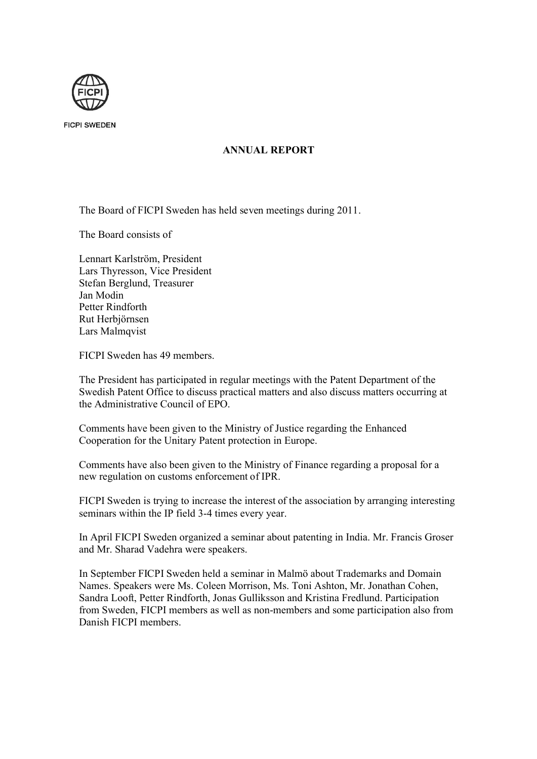

**FICPI SWEDEN** 

## **ANNUAL REPORT**

The Board of FICPI Sweden has held seven meetings during 2011.

The Board consists of

Lennart Karlström, President Lars Thyresson, Vice President Stefan Berglund, Treasurer Jan Modin Petter Rindforth Rut Herbjörnsen Lars Malmqvist

FICPI Sweden has 49 members.

The President has participated in regular meetings with the Patent Department of the Swedish Patent Office to discuss practical matters and also discuss matters occurring at the Administrative Council of EPO.

Comments have been given to the Ministry of Justice regarding the Enhanced Cooperation for the Unitary Patent protection in Europe.

Comments have also been given to the Ministry of Finance regarding a proposal for a new regulation on customs enforcement of IPR.

FICPI Sweden is trying to increase the interest of the association by arranging interesting seminars within the IP field 3-4 times every year.

In April FICPI Sweden organized a seminar about patenting in India. Mr. Francis Groser and Mr. Sharad Vadehra were speakers.

In September FICPI Sweden held a seminar in Malmö about Trademarks and Domain Names. Speakers were Ms. Coleen Morrison, Ms. Toni Ashton, Mr. Jonathan Cohen, Sandra Looft, Petter Rindforth, Jonas Gulliksson and Kristina Fredlund. Participation from Sweden, FICPI members as well as non-members and some participation also from Danish FICPI members.